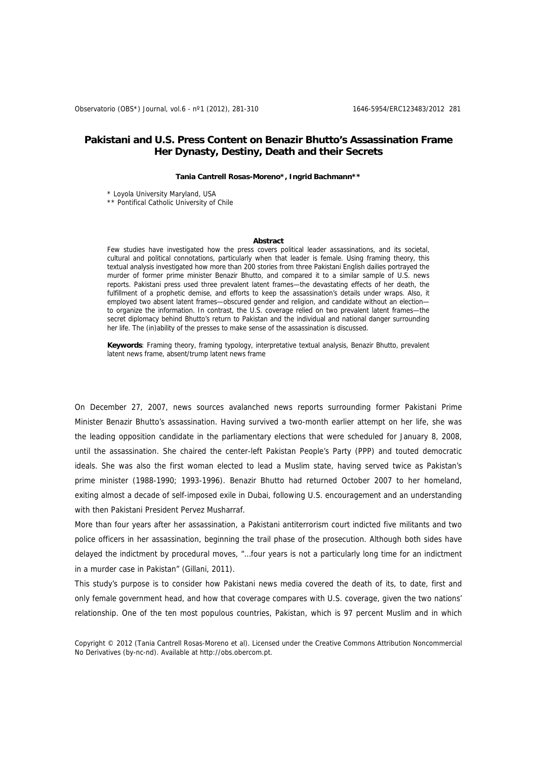# **Pakistani and U.S. Press Content on Benazir Bhutto's Assassination Frame Her Dynasty, Destiny, Death and their Secrets**

#### **Tania Cantrell Rosas-Moreno\*, Ingrid Bachmann\*\***

\* Loyola University Maryland, USA

\*\* Pontifical Catholic University of Chile

#### **Abstract**

Few studies have investigated how the press covers political leader assassinations, and its societal, cultural and political connotations, particularly when that leader is female. Using framing theory, this textual analysis investigated how more than 200 stories from three Pakistani English dailies portrayed the murder of former prime minister Benazir Bhutto, and compared it to a similar sample of U.S. news reports. Pakistani press used three prevalent latent frames—the devastating effects of her death, the fulfillment of a prophetic demise, and efforts to keep the assassination's details under wraps. Also, it employed two absent latent frames—obscured gender and religion, and candidate without an election to organize the information. In contrast, the U.S. coverage relied on two prevalent latent frames—the secret diplomacy behind Bhutto's return to Pakistan and the individual and national danger surrounding her life. The (in)ability of the presses to make sense of the assassination is discussed.

**Keywords**: Framing theory, framing typology, interpretative textual analysis, Benazir Bhutto, prevalent latent news frame, absent/trump latent news frame

On December 27, 2007, news sources avalanched news reports surrounding former Pakistani Prime Minister Benazir Bhutto's assassination. Having survived a two-month earlier attempt on her life, she was the leading opposition candidate in the parliamentary elections that were scheduled for January 8, 2008, until the assassination. She chaired the center-left Pakistan People's Party (PPP) and touted democratic ideals. She was also the first woman elected to lead a Muslim state, having served twice as Pakistan's prime minister (1988-1990; 1993-1996). Benazir Bhutto had returned October 2007 to her homeland, exiting almost a decade of self-imposed exile in Dubai, following U.S. encouragement and an understanding with then Pakistani President Pervez Musharraf.

More than four years after her assassination, a Pakistani antiterrorism court indicted five militants and two police officers in her assassination, beginning the trail phase of the prosecution. Although both sides have delayed the indictment by procedural moves, "…four years is not a particularly long time for an indictment in a murder case in Pakistan" (Gillani, 2011).

This study's purpose is to consider how Pakistani news media covered the death of its, to date, first and only female government head, and how that coverage compares with U.S. coverage, given the two nations' relationship. One of the ten most populous countries, Pakistan, which is 97 percent Muslim and in which

Copyright © 2012 (Tania Cantrell Rosas-Moreno et al). Licensed under the Creative Commons Attribution Noncommercial No Derivatives (by-nc-nd). Available at http://obs.obercom.pt.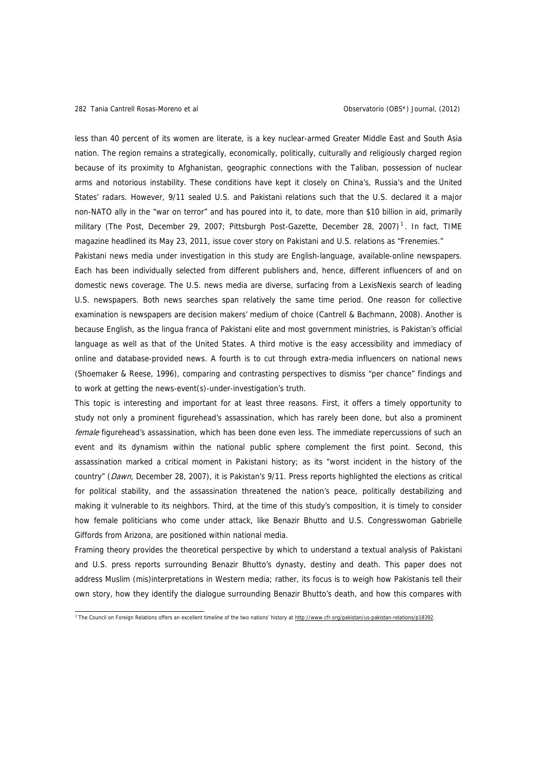less than 40 percent of its women are literate, is a key nuclear-armed Greater Middle East and South Asia nation. The region remains a strategically, economically, politically, culturally and religiously charged region because of its proximity to Afghanistan, geographic connections with the Taliban, possession of nuclear arms and notorious instability. These conditions have kept it closely on China's, Russia's and the United States' radars. However, 9/11 sealed U.S. and Pakistani relations such that the U.S. declared it a major non-NATO ally in the "war on terror" and has poured into it, to date, more than \$10 billion in aid, primarily military (The Post, December 29, 2007; Pittsburgh Post-Gazette, December 28, 2007)<sup>[1](#page-1-0)</sup>. In fact, TIME magazine headlined its May 23, 2011, issue cover story on Pakistani and U.S. relations as "Frenemies."

Pakistani news media under investigation in this study are English-language, available-online newspapers. Each has been individually selected from different publishers and, hence, different influencers of and on domestic news coverage. The U.S. news media are diverse, surfacing from a LexisNexis search of leading U.S. newspapers. Both news searches span relatively the same time period. One reason for collective examination is newspapers are decision makers' medium of choice (Cantrell & Bachmann, 2008). Another is because English, as the lingua franca of Pakistani elite and most government ministries, is Pakistan's official language as well as that of the United States. A third motive is the easy accessibility and immediacy of online and database-provided news. A fourth is to cut through extra-media influencers on national news (Shoemaker & Reese, 1996), comparing and contrasting perspectives to dismiss "per chance" findings and to work at getting the news-event(s)-under-investigation's truth.

This topic is interesting and important for at least three reasons. First, it offers a timely opportunity to study not only a prominent figurehead's assassination, which has rarely been done, but also a prominent female figurehead's assassination, which has been done even less. The immediate repercussions of such an event and its dynamism within the national public sphere complement the first point. Second, this assassination marked a critical moment in Pakistani history; as its "worst incident in the history of the country" (Dawn, December 28, 2007), it is Pakistan's 9/11. Press reports highlighted the elections as critical for political stability, and the assassination threatened the nation's peace, politically destabilizing and making it vulnerable to its neighbors. Third, at the time of this study's composition, it is timely to consider how female politicians who come under attack, like Benazir Bhutto and U.S. Congresswoman Gabrielle Giffords from Arizona, are positioned within national media.

Framing theory provides the theoretical perspective by which to understand a textual analysis of Pakistani and U.S. press reports surrounding Benazir Bhutto's dynasty, destiny and death. This paper does not address Muslim (mis)interpretations in Western media; rather, its focus is to weigh how Pakistanis tell their own story, how they identify the dialogue surrounding Benazir Bhutto's death, and how this compares with

<span id="page-1-0"></span><sup>&</sup>lt;sup>7</sup> The Council on Foreign Relations offers an excellent timeline of the two nations' history at [http://www.cfr.org/pakistan/us-pakistan-relations/p18392.](http://www.cfr.org/pakistan/us-pakistan-relations/p18392)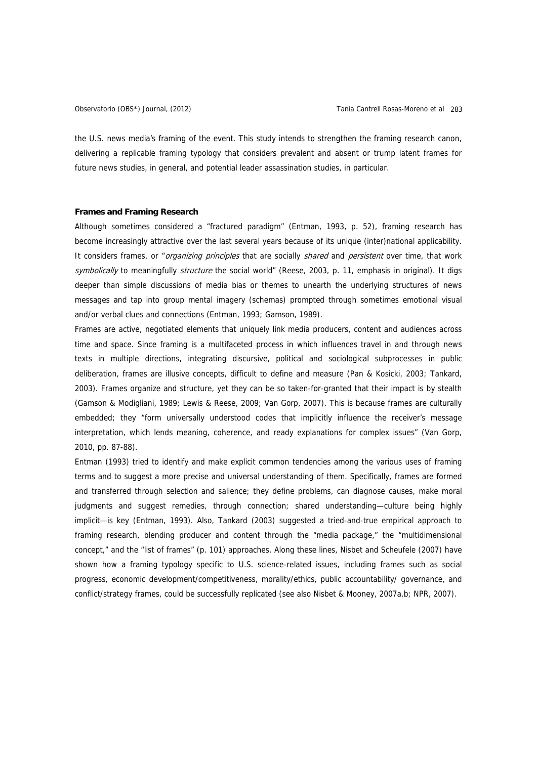the U.S. news media's framing of the event. This study intends to strengthen the framing research canon, delivering a replicable framing typology that considers prevalent and absent or trump latent frames for future news studies, in general, and potential leader assassination studies, in particular.

#### **Frames and Framing Research**

Although sometimes considered a "fractured paradigm" (Entman, 1993, p. 52), framing research has become increasingly attractive over the last several years because of its unique (inter)national applicability. It considers frames, or "organizing principles that are socially shared and persistent over time, that work symbolically to meaningfully structure the social world" (Reese, 2003, p. 11, emphasis in original). It digs deeper than simple discussions of media bias or themes to unearth the underlying structures of news messages and tap into group mental imagery (schemas) prompted through sometimes emotional visual and/or verbal clues and connections (Entman, 1993; Gamson, 1989).

Frames are active, negotiated elements that uniquely link media producers, content and audiences across time and space. Since framing is a multifaceted process in which influences travel in and through news texts in multiple directions, integrating discursive, political and sociological subprocesses in public deliberation, frames are illusive concepts, difficult to define and measure (Pan & Kosicki, 2003; Tankard, 2003). Frames organize and structure, yet they can be so taken-for-granted that their impact is by stealth (Gamson & Modigliani, 1989; Lewis & Reese, 2009; Van Gorp, 2007). This is because frames are culturally embedded; they "form universally understood codes that implicitly influence the receiver's message interpretation, which lends meaning, coherence, and ready explanations for complex issues" (Van Gorp, 2010, pp. 87-88).

Entman (1993) tried to identify and make explicit common tendencies among the various uses of framing terms and to suggest a more precise and universal understanding of them. Specifically, frames are formed and transferred through selection and salience; they define problems, can diagnose causes, make moral judgments and suggest remedies, through connection; shared understanding—culture being highly implicit—is key (Entman, 1993). Also, Tankard (2003) suggested a tried-and-true empirical approach to framing research, blending producer and content through the "media package," the "multidimensional concept," and the "list of frames" (p. 101) approaches. Along these lines, Nisbet and Scheufele (2007) have shown how a framing typology specific to U.S. science-related issues, including frames such as social progress, economic development/competitiveness, morality/ethics, public accountability/ governance, and conflict/strategy frames, could be successfully replicated (see also Nisbet & Mooney, 2007a,b; NPR, 2007).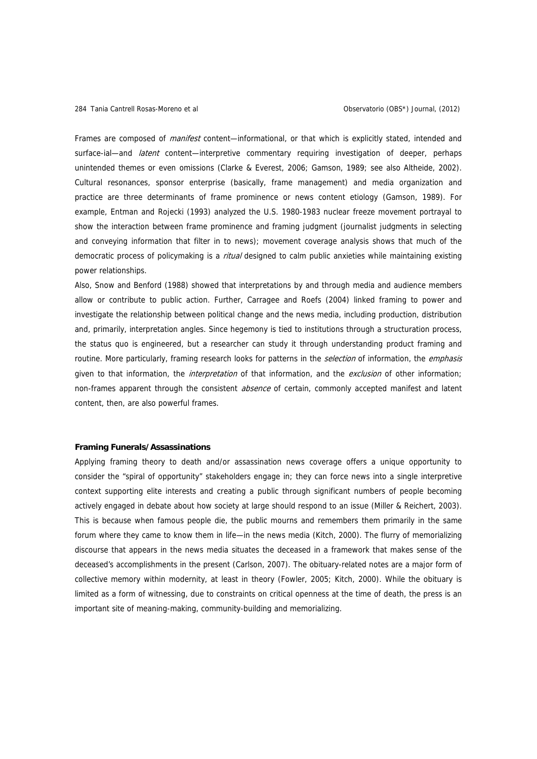Frames are composed of *manifest* content—informational, or that which is explicitly stated, intended and surface-ial—and *latent* content—interpretive commentary requiring investigation of deeper, perhaps unintended themes or even omissions (Clarke & Everest, 2006; Gamson, 1989; see also Altheide, 2002). Cultural resonances, sponsor enterprise (basically, frame management) and media organization and practice are three determinants of frame prominence or news content etiology (Gamson, 1989). For example, Entman and Rojecki (1993) analyzed the U.S. 1980-1983 nuclear freeze movement portrayal to show the interaction between frame prominence and framing judgment (journalist judgments in selecting and conveying information that filter in to news); movement coverage analysis shows that much of the democratic process of policymaking is a *ritual* designed to calm public anxieties while maintaining existing power relationships.

Also, Snow and Benford (1988) showed that interpretations by and through media and audience members allow or contribute to public action. Further, Carragee and Roefs (2004) linked framing to power and investigate the relationship between political change and the news media, including production, distribution and, primarily, interpretation angles. Since hegemony is tied to institutions through a structuration process, the status quo is engineered, but a researcher can study it through understanding product framing and routine. More particularly, framing research looks for patterns in the *selection* of information, the *emphasis* given to that information, the *interpretation* of that information, and the exclusion of other information; non-frames apparent through the consistent *absence* of certain, commonly accepted manifest and latent content, then, are also powerful frames.

#### **Framing Funerals/Assassinations**

Applying framing theory to death and/or assassination news coverage offers a unique opportunity to consider the "spiral of opportunity" stakeholders engage in; they can force news into a single interpretive context supporting elite interests and creating a public through significant numbers of people becoming actively engaged in debate about how society at large should respond to an issue (Miller & Reichert, 2003). This is because when famous people die, the public mourns and remembers them primarily in the same forum where they came to know them in life—in the news media (Kitch, 2000). The flurry of memorializing discourse that appears in the news media situates the deceased in a framework that makes sense of the deceased's accomplishments in the present (Carlson, 2007). The obituary-related notes are a major form of collective memory within modernity, at least in theory (Fowler, 2005; Kitch, 2000). While the obituary is limited as a form of witnessing, due to constraints on critical openness at the time of death, the press is an important site of meaning-making, community-building and memorializing.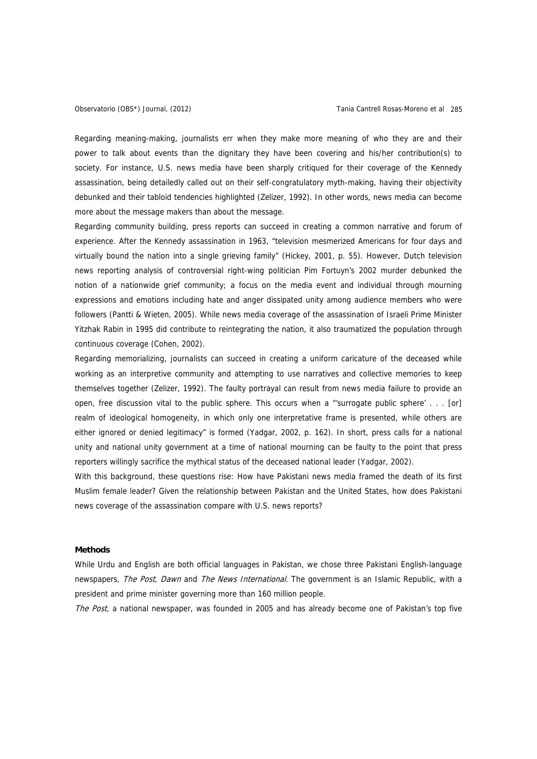Regarding meaning-making, journalists err when they make more meaning of who they are and their power to talk about events than the dignitary they have been covering and his/her contribution(s) to society. For instance, U.S. news media have been sharply critiqued for their coverage of the Kennedy assassination, being detailedly called out on their self-congratulatory myth-making, having their objectivity debunked and their tabloid tendencies highlighted (Zelizer, 1992). In other words, news media can become more about the message makers than about the message.

Regarding community building, press reports can succeed in creating a common narrative and forum of experience. After the Kennedy assassination in 1963, "television mesmerized Americans for four days and virtually bound the nation into a single grieving family" (Hickey, 2001, p. 55). However, Dutch television news reporting analysis of controversial right-wing politician Pim Fortuyn's 2002 murder debunked the notion of a nationwide grief community; a focus on the media event and individual through mourning expressions and emotions including hate and anger dissipated unity among audience members who were followers (Pantti & Wieten, 2005). While news media coverage of the assassination of Israeli Prime Minister Yitzhak Rabin in 1995 did contribute to reintegrating the nation, it also traumatized the population through continuous coverage (Cohen, 2002).

Regarding memorializing, journalists can succeed in creating a uniform caricature of the deceased while working as an interpretive community and attempting to use narratives and collective memories to keep themselves together (Zelizer, 1992). The faulty portrayal can result from news media failure to provide an open, free discussion vital to the public sphere. This occurs when a "'surrogate public sphere' . . . [or] realm of ideological homogeneity, in which only one interpretative frame is presented, while others are either ignored or denied legitimacy" is formed (Yadgar, 2002, p. 162). In short, press calls for a national unity and national unity government at a time of national mourning can be faulty to the point that press reporters willingly sacrifice the mythical status of the deceased national leader (Yadgar, 2002).

With this background, these questions rise: How have Pakistani news media framed the death of its first Muslim female leader? Given the relationship between Pakistan and the United States, how does Pakistani news coverage of the assassination compare with U.S. news reports?

# **Methods**

While Urdu and English are both official languages in Pakistan, we chose three Pakistani English-language newspapers, *The Post, Dawn* and *The News International*. The government is an Islamic Republic, with a president and prime minister governing more than 160 million people.

The Post, a national newspaper, was founded in 2005 and has already become one of Pakistan's top five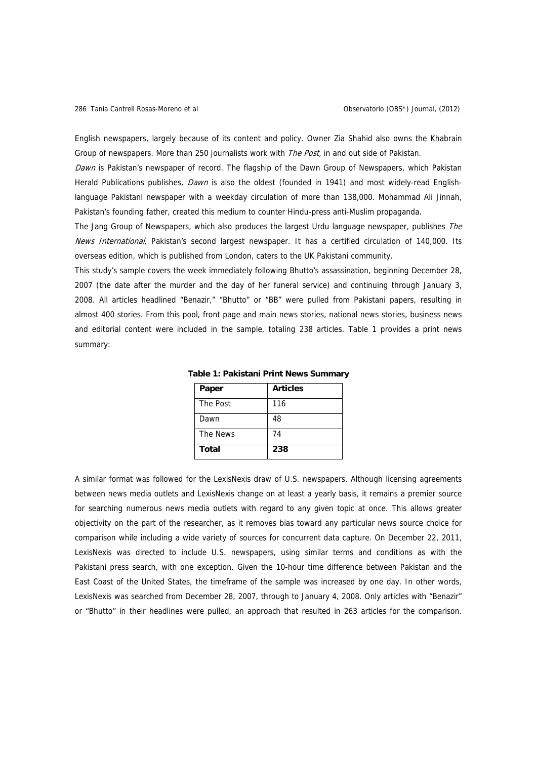English newspapers, largely because of its content and policy. Owner Zia Shahid also owns the Khabrain Group of newspapers. More than 250 journalists work with The Post, in and out side of Pakistan.

Dawn is Pakistan's newspaper of record. The flagship of the Dawn Group of Newspapers, which Pakistan Herald Publications publishes, Dawn is also the oldest (founded in 1941) and most widely-read Englishlanguage Pakistani newspaper with a weekday circulation of more than 138,000. Mohammad Ali Jinnah, Pakistan's founding father, created this medium to counter Hindu-press anti-Muslim propaganda.

The Jang Group of Newspapers, which also produces the largest Urdu language newspaper, publishes The News International, Pakistan's second largest newspaper. It has a certified circulation of 140,000. Its overseas edition, which is published from London, caters to the UK Pakistani community.

This study's sample covers the week immediately following Bhutto's assassination, beginning December 28, 2007 (the date after the murder and the day of her funeral service) and continuing through January 3, 2008. All articles headlined "Benazir," "Bhutto" or "BB" were pulled from Pakistani papers, resulting in almost 400 stories. From this pool, front page and main news stories, national news stories, business news and editorial content were included in the sample, totaling 238 articles. Table 1 provides a print news summary:

| Paper    | <b>Articles</b> |
|----------|-----------------|
| The Post | 116             |
| Dawn     | 48              |
| The News | 74              |
| Total    | 238             |

**Table 1: Pakistani Print News Summary** 

A similar format was followed for the LexisNexis draw of U.S. newspapers. Although licensing agreements between news media outlets and LexisNexis change on at least a yearly basis, it remains a premier source for searching numerous news media outlets with regard to any given topic at once. This allows greater objectivity on the part of the researcher, as it removes bias toward any particular news source choice for comparison while including a wide variety of sources for concurrent data capture. On December 22, 2011, LexisNexis was directed to include U.S. newspapers, using similar terms and conditions as with the Pakistani press search, with one exception. Given the 10-hour time difference between Pakistan and the East Coast of the United States, the timeframe of the sample was increased by one day. In other words, LexisNexis was searched from December 28, 2007, through to January 4, 2008. Only articles with "Benazir" or "Bhutto" in their headlines were pulled, an approach that resulted in 263 articles for the comparison.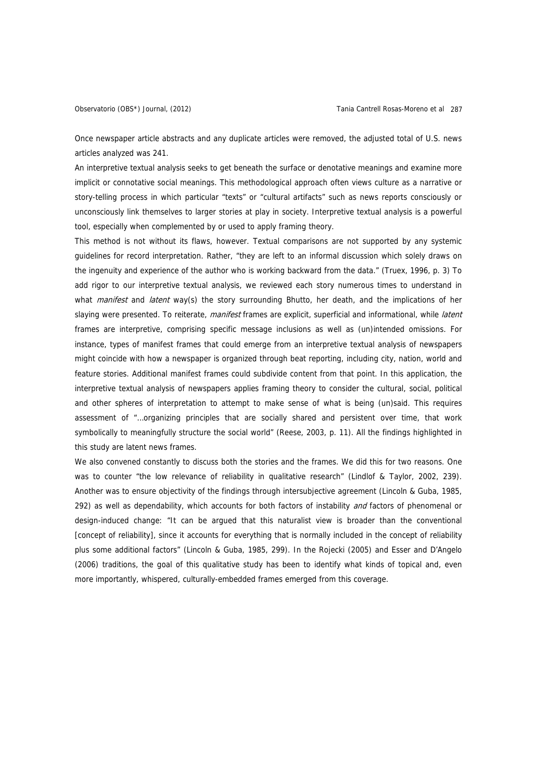Once newspaper article abstracts and any duplicate articles were removed, the adjusted total of U.S. news articles analyzed was 241.

An interpretive textual analysis seeks to get beneath the surface or denotative meanings and examine more implicit or connotative social meanings. This methodological approach often views culture as a narrative or story-telling process in which particular "texts" or "cultural artifacts" such as news reports consciously or unconsciously link themselves to larger stories at play in society. Interpretive textual analysis is a powerful tool, especially when complemented by or used to apply framing theory.

This method is not without its flaws, however. Textual comparisons are not supported by any systemic guidelines for record interpretation. Rather, "they are left to an informal discussion which solely draws on the ingenuity and experience of the author who is working backward from the data." (Truex, 1996, p. 3) To add rigor to our interpretive textual analysis, we reviewed each story numerous times to understand in what *manifest* and *latent* way(s) the story surrounding Bhutto, her death, and the implications of her slaying were presented. To reiterate, manifest frames are explicit, superficial and informational, while latent frames are interpretive, comprising specific message inclusions as well as (un)intended omissions. For instance, types of manifest frames that could emerge from an interpretive textual analysis of newspapers might coincide with how a newspaper is organized through beat reporting, including city, nation, world and feature stories. Additional manifest frames could subdivide content from that point. In this application, the interpretive textual analysis of newspapers applies framing theory to consider the cultural, social, political and other spheres of interpretation to attempt to make sense of what is being (un)said. This requires assessment of "…organizing principles that are socially shared and persistent over time, that work symbolically to meaningfully structure the social world" (Reese, 2003, p. 11). All the findings highlighted in this study are latent news frames.

We also convened constantly to discuss both the stories and the frames. We did this for two reasons. One was to counter "the low relevance of reliability in qualitative research" (Lindlof & Taylor, 2002, 239). Another was to ensure objectivity of the findings through intersubjective agreement (Lincoln & Guba, 1985, 292) as well as dependability, which accounts for both factors of instability and factors of phenomenal or design-induced change: "It can be argued that this naturalist view is broader than the conventional [concept of reliability], since it accounts for everything that is normally included in the concept of reliability plus some additional factors" (Lincoln & Guba, 1985, 299). In the Rojecki (2005) and Esser and D'Angelo (2006) traditions, the goal of this qualitative study has been to identify what kinds of topical and, even more importantly, whispered, culturally-embedded frames emerged from this coverage.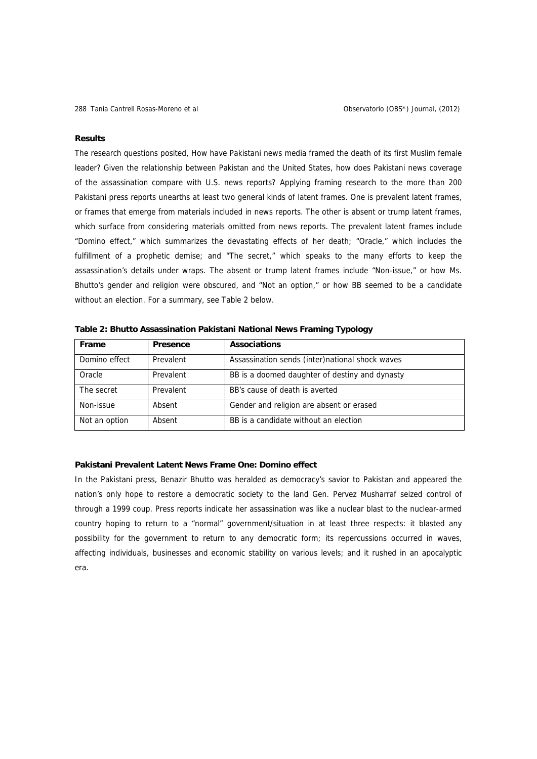#### **Results**

The research questions posited, How have Pakistani news media framed the death of its first Muslim female leader? Given the relationship between Pakistan and the United States, how does Pakistani news coverage of the assassination compare with U.S. news reports? Applying framing research to the more than 200 Pakistani press reports unearths at least two general kinds of latent frames. One is prevalent latent frames, or frames that emerge from materials included in news reports. The other is absent or trump latent frames, which surface from considering materials omitted from news reports. The prevalent latent frames include "Domino effect," which summarizes the devastating effects of her death; "Oracle," which includes the fulfillment of a prophetic demise; and "The secret," which speaks to the many efforts to keep the assassination's details under wraps. The absent or trump latent frames include "Non-issue," or how Ms. Bhutto's gender and religion were obscured, and "Not an option," or how BB seemed to be a candidate without an election. For a summary, see Table 2 below.

| <b>Frame</b>  | <b>Presence</b> | <b>Associations</b>                              |
|---------------|-----------------|--------------------------------------------------|
| Domino effect | Prevalent       | Assassination sends (inter) national shock waves |
| Oracle        | Prevalent       | BB is a doomed daughter of destiny and dynasty   |
| The secret    | Prevalent       | BB's cause of death is averted                   |
| Non-issue     | Absent          | Gender and religion are absent or erased         |
| Not an option | Absent          | BB is a candidate without an election            |

**Table 2: Bhutto Assassination Pakistani National News Framing Typology** 

### **Pakistani Prevalent Latent News Frame One: Domino effect**

In the Pakistani press, Benazir Bhutto was heralded as democracy's savior to Pakistan and appeared the nation's only hope to restore a democratic society to the land Gen. Pervez Musharraf seized control of through a 1999 coup. Press reports indicate her assassination was like a nuclear blast to the nuclear-armed country hoping to return to a "normal" government/situation in at least three respects: it blasted any possibility for the government to return to any democratic form; its repercussions occurred in waves, affecting individuals, businesses and economic stability on various levels; and it rushed in an apocalyptic era.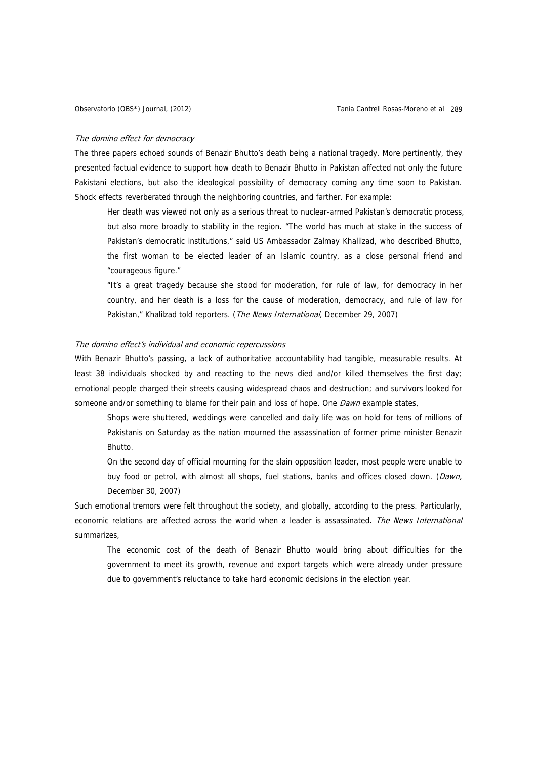#### The domino effect for democracy

The three papers echoed sounds of Benazir Bhutto's death being a national tragedy. More pertinently, they presented factual evidence to support how death to Benazir Bhutto in Pakistan affected not only the future Pakistani elections, but also the ideological possibility of democracy coming any time soon to Pakistan. Shock effects reverberated through the neighboring countries, and farther. For example:

Her death was viewed not only as a serious threat to nuclear-armed Pakistan's democratic process, but also more broadly to stability in the region. "The world has much at stake in the success of Pakistan's democratic institutions," said US Ambassador Zalmay Khalilzad, who described Bhutto, the first woman to be elected leader of an Islamic country, as a close personal friend and "courageous figure."

"It's a great tragedy because she stood for moderation, for rule of law, for democracy in her country, and her death is a loss for the cause of moderation, democracy, and rule of law for Pakistan," Khalilzad told reporters. (The News International, December 29, 2007)

### The domino effect's individual and economic repercussions

With Benazir Bhutto's passing, a lack of authoritative accountability had tangible, measurable results. At least 38 individuals shocked by and reacting to the news died and/or killed themselves the first day; emotional people charged their streets causing widespread chaos and destruction; and survivors looked for someone and/or something to blame for their pain and loss of hope. One *Dawn* example states,

Shops were shuttered, weddings were cancelled and daily life was on hold for tens of millions of Pakistanis on Saturday as the nation mourned the assassination of former prime minister Benazir Bhutto.

On the second day of official mourning for the slain opposition leader, most people were unable to buy food or petrol, with almost all shops, fuel stations, banks and offices closed down. (Dawn, December 30, 2007)

Such emotional tremors were felt throughout the society, and globally, according to the press. Particularly, economic relations are affected across the world when a leader is assassinated. The News International summarizes,

The economic cost of the death of Benazir Bhutto would bring about difficulties for the government to meet its growth, revenue and export targets which were already under pressure due to government's reluctance to take hard economic decisions in the election year.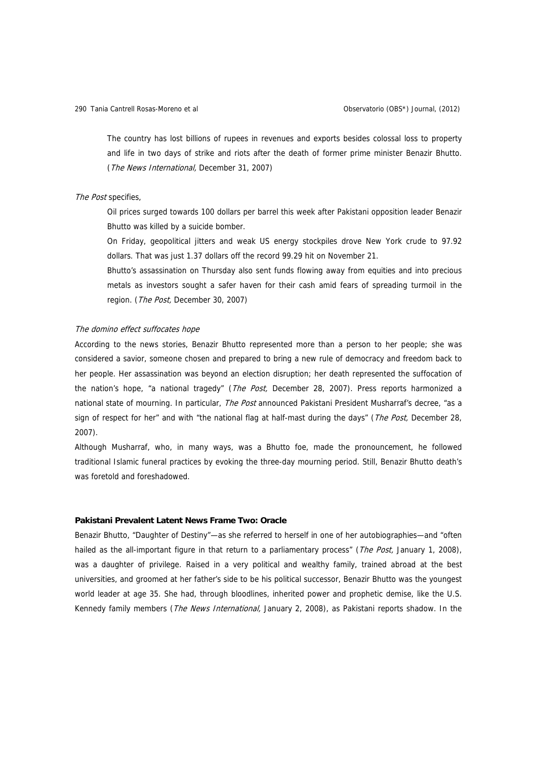The country has lost billions of rupees in revenues and exports besides colossal loss to property and life in two days of strike and riots after the death of former prime minister Benazir Bhutto. (The News International, December 31, 2007)

### The Post specifies,

Oil prices surged towards 100 dollars per barrel this week after Pakistani opposition leader Benazir Bhutto was killed by a suicide bomber.

On Friday, geopolitical jitters and weak US energy stockpiles drove New York crude to 97.92 dollars. That was just 1.37 dollars off the record 99.29 hit on November 21.

Bhutto's assassination on Thursday also sent funds flowing away from equities and into precious metals as investors sought a safer haven for their cash amid fears of spreading turmoil in the region. (The Post, December 30, 2007)

# The domino effect suffocates hope

According to the news stories, Benazir Bhutto represented more than a person to her people; she was considered a savior, someone chosen and prepared to bring a new rule of democracy and freedom back to her people. Her assassination was beyond an election disruption; her death represented the suffocation of the nation's hope, "a national tragedy" (The Post, December 28, 2007). Press reports harmonized a national state of mourning. In particular, The Post announced Pakistani President Musharraf's decree, "as a sign of respect for her" and with "the national flag at half-mast during the days" (The Post, December 28, 2007).

Although Musharraf, who, in many ways, was a Bhutto foe, made the pronouncement, he followed traditional Islamic funeral practices by evoking the three-day mourning period. Still, Benazir Bhutto death's was foretold and foreshadowed.

# **Pakistani Prevalent Latent News Frame Two: Oracle**

Benazir Bhutto, "Daughter of Destiny"—as she referred to herself in one of her autobiographies—and "often hailed as the all-important figure in that return to a parliamentary process" (*The Post*, January 1, 2008), was a daughter of privilege. Raised in a very political and wealthy family, trained abroad at the best universities, and groomed at her father's side to be his political successor, Benazir Bhutto was the youngest world leader at age 35. She had, through bloodlines, inherited power and prophetic demise, like the U.S. Kennedy family members (*The News International*, January 2, 2008), as Pakistani reports shadow. In the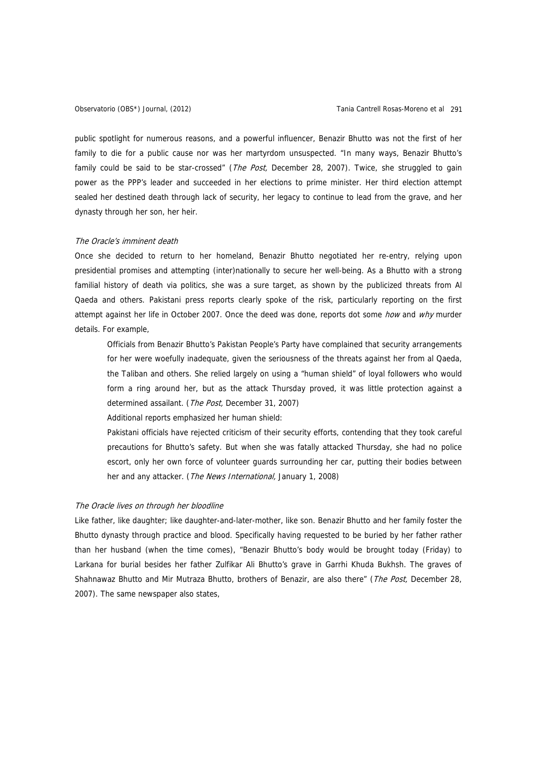public spotlight for numerous reasons, and a powerful influencer, Benazir Bhutto was not the first of her family to die for a public cause nor was her martyrdom unsuspected. "In many ways, Benazir Bhutto's family could be said to be star-crossed" (The Post, December 28, 2007). Twice, she struggled to gain power as the PPP's leader and succeeded in her elections to prime minister. Her third election attempt sealed her destined death through lack of security, her legacy to continue to lead from the grave, and her dynasty through her son, her heir.

### The Oracle's imminent death

Once she decided to return to her homeland, Benazir Bhutto negotiated her re-entry, relying upon presidential promises and attempting (inter)nationally to secure her well-being. As a Bhutto with a strong familial history of death via politics, she was a sure target, as shown by the publicized threats from Al Qaeda and others. Pakistani press reports clearly spoke of the risk, particularly reporting on the first attempt against her life in October 2007. Once the deed was done, reports dot some how and why murder details. For example,

Officials from Benazir Bhutto's Pakistan People's Party have complained that security arrangements for her were woefully inadequate, given the seriousness of the threats against her from al Qaeda, the Taliban and others. She relied largely on using a "human shield" of loyal followers who would form a ring around her, but as the attack Thursday proved, it was little protection against a determined assailant. (The Post, December 31, 2007)

Additional reports emphasized her human shield:

Pakistani officials have rejected criticism of their security efforts, contending that they took careful precautions for Bhutto's safety. But when she was fatally attacked Thursday, she had no police escort, only her own force of volunteer guards surrounding her car, putting their bodies between her and any attacker. (The News International, January 1, 2008)

#### The Oracle lives on through her bloodline

Like father, like daughter; like daughter-and-later-mother, like son. Benazir Bhutto and her family foster the Bhutto dynasty through practice and blood. Specifically having requested to be buried by her father rather than her husband (when the time comes), "Benazir Bhutto's body would be brought today (Friday) to Larkana for burial besides her father Zulfikar Ali Bhutto's grave in Garrhi Khuda Bukhsh. The graves of Shahnawaz Bhutto and Mir Mutraza Bhutto, brothers of Benazir, are also there" (The Post, December 28, 2007). The same newspaper also states,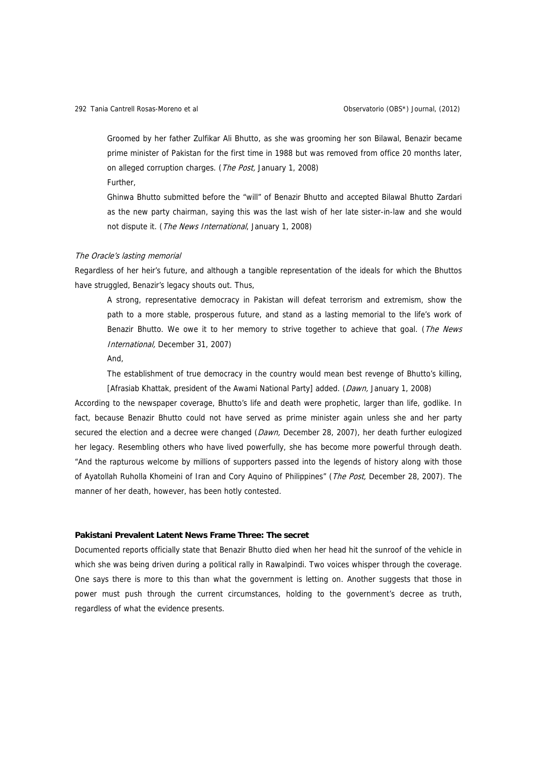Groomed by her father Zulfikar Ali Bhutto, as she was grooming her son Bilawal, Benazir became prime minister of Pakistan for the first time in 1988 but was removed from office 20 months later, on alleged corruption charges. (The Post, January 1, 2008) Further,

Ghinwa Bhutto submitted before the "will" of Benazir Bhutto and accepted Bilawal Bhutto Zardari as the new party chairman, saying this was the last wish of her late sister-in-law and she would not dispute it. (The News International, January 1, 2008)

### The Oracle's lasting memorial

Regardless of her heir's future, and although a tangible representation of the ideals for which the Bhuttos have struggled, Benazir's legacy shouts out. Thus,

A strong, representative democracy in Pakistan will defeat terrorism and extremism, show the path to a more stable, prosperous future, and stand as a lasting memorial to the life's work of Benazir Bhutto. We owe it to her memory to strive together to achieve that goal. (The News International, December 31, 2007)

And,

The establishment of true democracy in the country would mean best revenge of Bhutto's killing, [Afrasiab Khattak, president of the Awami National Party] added. (Dawn, January 1, 2008)

According to the newspaper coverage, Bhutto's life and death were prophetic, larger than life, godlike. In fact, because Benazir Bhutto could not have served as prime minister again unless she and her party secured the election and a decree were changed (Dawn, December 28, 2007), her death further eulogized her legacy. Resembling others who have lived powerfully, she has become more powerful through death. "And the rapturous welcome by millions of supporters passed into the legends of history along with those of Ayatollah Ruholla Khomeini of Iran and Cory Aquino of Philippines" (The Post, December 28, 2007). The manner of her death, however, has been hotly contested.

# **Pakistani Prevalent Latent News Frame Three: The secret**

Documented reports officially state that Benazir Bhutto died when her head hit the sunroof of the vehicle in which she was being driven during a political rally in Rawalpindi. Two voices whisper through the coverage. One says there is more to this than what the government is letting on. Another suggests that those in power must push through the current circumstances, holding to the government's decree as truth, regardless of what the evidence presents.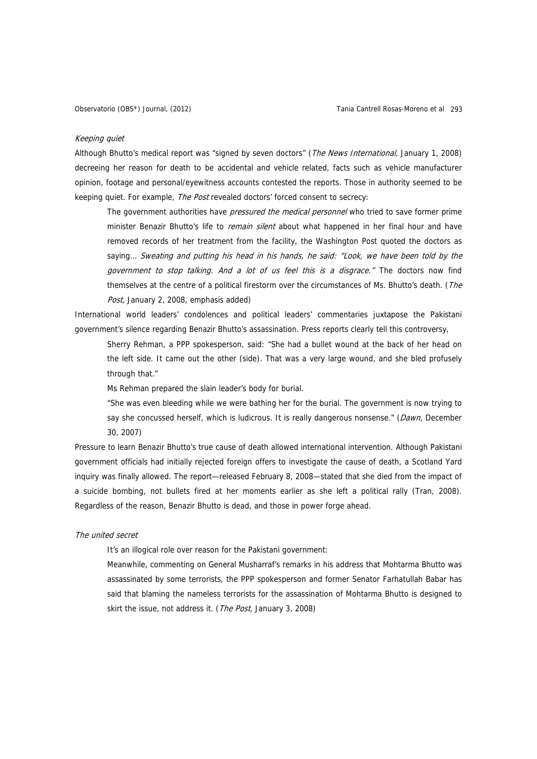#### Keeping quiet

Although Bhutto's medical report was "signed by seven doctors" (The News International, January 1, 2008) decreeing her reason for death to be accidental and vehicle related, facts such as vehicle manufacturer opinion, footage and personal/eyewitness accounts contested the reports. Those in authority seemed to be keeping quiet. For example, The Post revealed doctors' forced consent to secrecy:

The government authorities have pressured the medical personnel who tried to save former prime minister Benazir Bhutto's life to *remain silent* about what happened in her final hour and have removed records of her treatment from the facility, the Washington Post quoted the doctors as saying... Sweating and putting his head in his hands, he said: "Look, we have been told by the government to stop talking. And a lot of us feel this is a disgrace." The doctors now find themselves at the centre of a political firestorm over the circumstances of Ms. Bhutto's death. (The Post, January 2, 2008, emphasis added)

International world leaders' condolences and political leaders' commentaries juxtapose the Pakistani government's silence regarding Benazir Bhutto's assassination. Press reports clearly tell this controversy,

Sherry Rehman, a PPP spokesperson, said: "She had a bullet wound at the back of her head on the left side. It came out the other (side). That was a very large wound, and she bled profusely through that."

Ms Rehman prepared the slain leader's body for burial.

"She was even bleeding while we were bathing her for the burial. The government is now trying to say she concussed herself, which is ludicrous. It is really dangerous nonsense." (Dawn, December 30, 2007)

Pressure to learn Benazir Bhutto's true cause of death allowed international intervention. Although Pakistani government officials had initially rejected foreign offers to investigate the cause of death, a Scotland Yard inquiry was finally allowed. The report—released February 8, 2008—stated that she died from the impact of a suicide bombing, not bullets fired at her moments earlier as she left a political rally (Tran, 2008). Regardless of the reason, Benazir Bhutto is dead, and those in power forge ahead.

#### The united secret

It's an illogical role over reason for the Pakistani government:

Meanwhile, commenting on General Musharraf's remarks in his address that Mohtarma Bhutto was assassinated by some terrorists, the PPP spokesperson and former Senator Farhatullah Babar has said that blaming the nameless terrorists for the assassination of Mohtarma Bhutto is designed to skirt the issue, not address it. (The Post, January 3, 2008)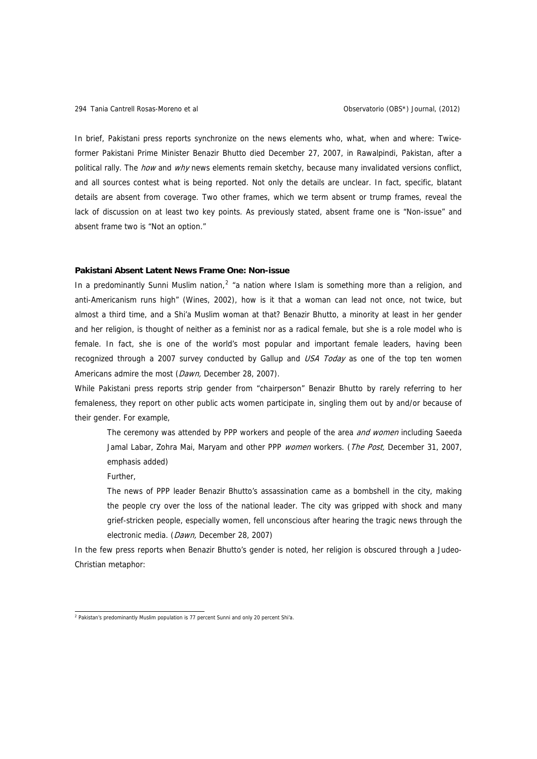In brief, Pakistani press reports synchronize on the news elements who, what, when and where: Twiceformer Pakistani Prime Minister Benazir Bhutto died December 27, 2007, in Rawalpindi, Pakistan, after a political rally. The *how* and why news elements remain sketchy, because many invalidated versions conflict, and all sources contest what is being reported. Not only the details are unclear. In fact, specific, blatant details are absent from coverage. Two other frames, which we term absent or trump frames, reveal the lack of discussion on at least two key points. As previously stated, absent frame one is "Non-issue" and absent frame two is "Not an option."

### **Pakistani Absent Latent News Frame One: Non-issue**

In a predominantly Sunni Muslim nation,<sup>[2](#page-13-0)</sup> "a nation where Islam is something more than a religion, and anti-Americanism runs high" (Wines, 2002), how is it that a woman can lead not once, not twice, but almost a third time, and a Shi'a Muslim woman at that? Benazir Bhutto, a minority at least in her gender and her religion, is thought of neither as a feminist nor as a radical female, but she is a role model who is female. In fact, she is one of the world's most popular and important female leaders, having been recognized through a 2007 survey conducted by Gallup and USA Today as one of the top ten women Americans admire the most (Dawn, December 28, 2007).

While Pakistani press reports strip gender from "chairperson" Benazir Bhutto by rarely referring to her femaleness, they report on other public acts women participate in, singling them out by and/or because of their gender. For example,

The ceremony was attended by PPP workers and people of the area *and women* including Saeeda Jamal Labar, Zohra Mai, Maryam and other PPP women workers. (The Post, December 31, 2007, emphasis added)

Further,

The news of PPP leader Benazir Bhutto's assassination came as a bombshell in the city, making the people cry over the loss of the national leader. The city was gripped with shock and many grief-stricken people, especially women, fell unconscious after hearing the tragic news through the electronic media. (Dawn, December 28, 2007)

In the few press reports when Benazir Bhutto's gender is noted, her religion is obscured through a Judeo-Christian metaphor:

<span id="page-13-0"></span> 2 Pakistan's predominantly Muslim population is 77 percent Sunni and only 20 percent Shi'a.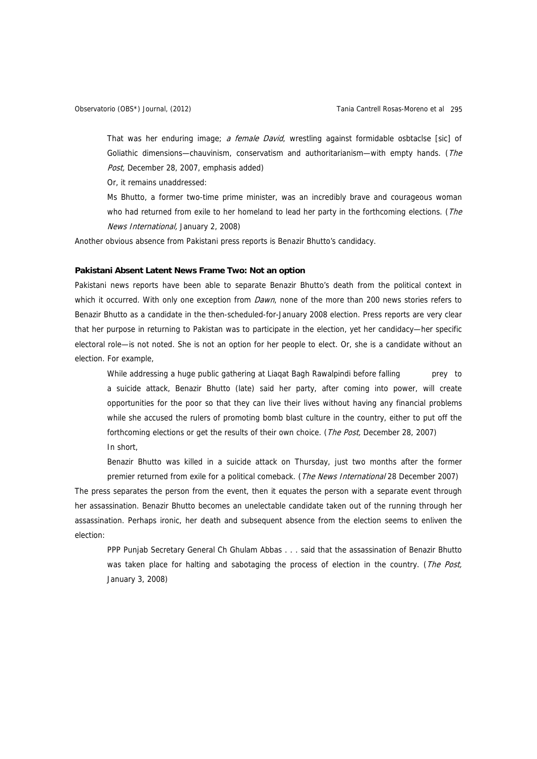That was her enduring image; a female David, wrestling against formidable osbtaclse [sic] of Goliathic dimensions—chauvinism, conservatism and authoritarianism—with empty hands. (The Post, December 28, 2007, emphasis added)

Or, it remains unaddressed:

Ms Bhutto, a former two-time prime minister, was an incredibly brave and courageous woman who had returned from exile to her homeland to lead her party in the forthcoming elections. (The News International, January 2, 2008)

Another obvious absence from Pakistani press reports is Benazir Bhutto's candidacy.

# **Pakistani Absent Latent News Frame Two: Not an option**

Pakistani news reports have been able to separate Benazir Bhutto's death from the political context in which it occurred. With only one exception from Dawn, none of the more than 200 news stories refers to Benazir Bhutto as a candidate in the then-scheduled-for-January 2008 election. Press reports are very clear that her purpose in returning to Pakistan was to participate in the election, yet her candidacy—her specific electoral role—is not noted. She is not an option for her people to elect. Or, she is a candidate without an election. For example,

While addressing a huge public gathering at Liaqat Bagh Rawalpindi before falling prey to a suicide attack, Benazir Bhutto (late) said her party, after coming into power, will create opportunities for the poor so that they can live their lives without having any financial problems while she accused the rulers of promoting bomb blast culture in the country, either to put off the forthcoming elections or get the results of their own choice. (The Post, December 28, 2007) In short,

Benazir Bhutto was killed in a suicide attack on Thursday, just two months after the former premier returned from exile for a political comeback. (The News International 28 December 2007)

The press separates the person from the event, then it equates the person with a separate event through her assassination. Benazir Bhutto becomes an unelectable candidate taken out of the running through her assassination. Perhaps ironic, her death and subsequent absence from the election seems to enliven the election:

PPP Punjab Secretary General Ch Ghulam Abbas . . . said that the assassination of Benazir Bhutto was taken place for halting and sabotaging the process of election in the country. (The Post, January 3, 2008)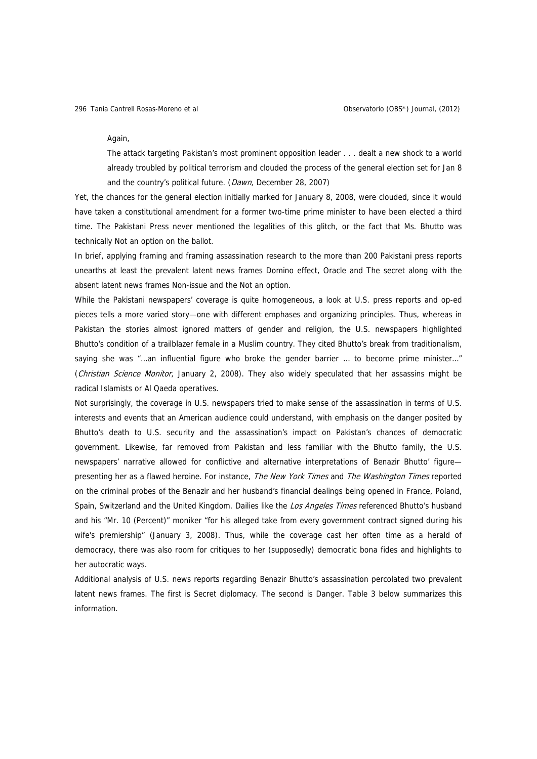#### Again,

The attack targeting Pakistan's most prominent opposition leader . . . dealt a new shock to a world already troubled by political terrorism and clouded the process of the general election set for Jan 8 and the country's political future. (Dawn, December 28, 2007)

Yet, the chances for the general election initially marked for January 8, 2008, were clouded, since it would have taken a constitutional amendment for a former two-time prime minister to have been elected a third time. The Pakistani Press never mentioned the legalities of this glitch, or the fact that Ms. Bhutto was technically Not an option on the ballot.

In brief, applying framing and framing assassination research to the more than 200 Pakistani press reports unearths at least the prevalent latent news frames Domino effect, Oracle and The secret along with the absent latent news frames Non-issue and the Not an option.

While the Pakistani newspapers' coverage is quite homogeneous, a look at U.S. press reports and op-ed pieces tells a more varied story—one with different emphases and organizing principles. Thus, whereas in Pakistan the stories almost ignored matters of gender and religion, the U.S. newspapers highlighted Bhutto's condition of a trailblazer female in a Muslim country. They cited Bhutto's break from traditionalism, saying she was "...an influential figure who broke the gender barrier ... to become prime minister..." (Christian Science Monitor, January 2, 2008). They also widely speculated that her assassins might be radical Islamists or Al Qaeda operatives.

Not surprisingly, the coverage in U.S. newspapers tried to make sense of the assassination in terms of U.S. interests and events that an American audience could understand, with emphasis on the danger posited by Bhutto's death to U.S. security and the assassination's impact on Pakistan's chances of democratic government. Likewise, far removed from Pakistan and less familiar with the Bhutto family, the U.S. newspapers' narrative allowed for conflictive and alternative interpretations of Benazir Bhutto' figure presenting her as a flawed heroine. For instance, The New York Times and The Washington Times reported on the criminal probes of the Benazir and her husband's financial dealings being opened in France, Poland, Spain, Switzerland and the United Kingdom. Dailies like the Los Angeles Times referenced Bhutto's husband and his "Mr. 10 (Percent)" moniker "for his alleged take from every government contract signed during his wife's premiership" (January 3, 2008). Thus, while the coverage cast her often time as a herald of democracy, there was also room for critiques to her (supposedly) democratic bona fides and highlights to her autocratic ways.

Additional analysis of U.S. news reports regarding Benazir Bhutto's assassination percolated two prevalent latent news frames. The first is Secret diplomacy. The second is Danger. Table 3 below summarizes this information.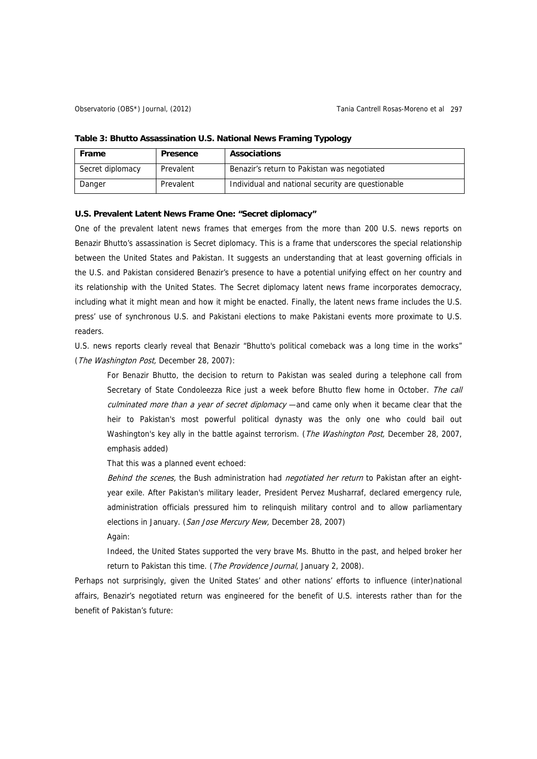| Frame            | Presence  | <b>Associations</b>                               |
|------------------|-----------|---------------------------------------------------|
| Secret diplomacy | Prevalent | Benazir's return to Pakistan was negotiated       |
| Danger           | Prevalent | Individual and national security are questionable |

#### **Table 3: Bhutto Assassination U.S. National News Framing Typology**

### **U.S. Prevalent Latent News Frame One: "Secret diplomacy"**

One of the prevalent latent news frames that emerges from the more than 200 U.S. news reports on Benazir Bhutto's assassination is Secret diplomacy. This is a frame that underscores the special relationship between the United States and Pakistan. It suggests an understanding that at least governing officials in the U.S. and Pakistan considered Benazir's presence to have a potential unifying effect on her country and its relationship with the United States. The Secret diplomacy latent news frame incorporates democracy, including what it might mean and how it might be enacted. Finally, the latent news frame includes the U.S. press' use of synchronous U.S. and Pakistani elections to make Pakistani events more proximate to U.S. readers.

U.S. news reports clearly reveal that Benazir "Bhutto's political comeback was a long time in the works" (The Washington Post, December 28, 2007):

For Benazir Bhutto, the decision to return to Pakistan was sealed during a telephone call from Secretary of State Condoleezza Rice just a week before Bhutto flew home in October. The call culminated more than a year of secret diplomacy —and came only when it became clear that the heir to Pakistan's most powerful political dynasty was the only one who could bail out Washington's key ally in the battle against terrorism. (The Washington Post, December 28, 2007, emphasis added)

That this was a planned event echoed:

Behind the scenes, the Bush administration had negotiated her return to Pakistan after an eightyear exile. After Pakistan's military leader, President Pervez Musharraf, declared emergency rule, administration officials pressured him to relinquish military control and to allow parliamentary elections in January. (San Jose Mercury New, December 28, 2007)

Again:

Indeed, the United States supported the very brave Ms. Bhutto in the past, and helped broker her return to Pakistan this time. (The Providence Journal, January 2, 2008).

Perhaps not surprisingly, given the United States' and other nations' efforts to influence (inter)national affairs, Benazir's negotiated return was engineered for the benefit of U.S. interests rather than for the benefit of Pakistan's future: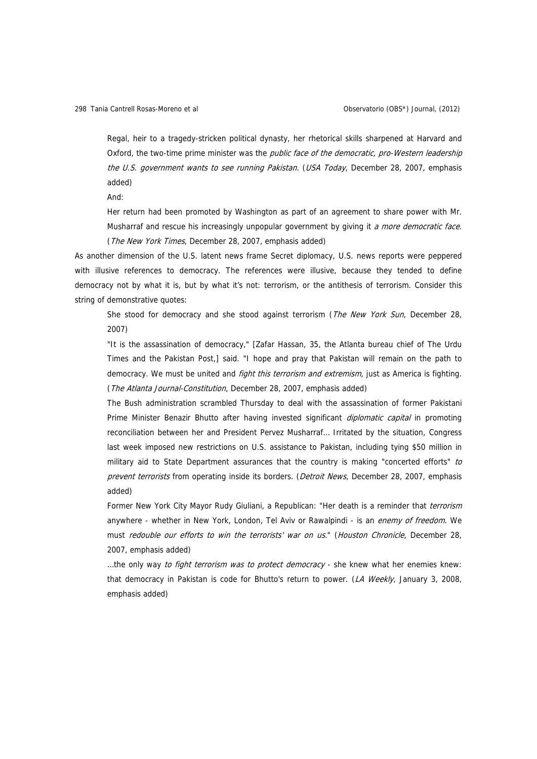Regal, heir to a tragedy-stricken political dynasty, her rhetorical skills sharpened at Harvard and Oxford, the two-time prime minister was the public face of the democratic, pro-Western leadership the U.S. government wants to see running Pakistan. (USA Today, December 28, 2007, emphasis added)

And:

Her return had been promoted by Washington as part of an agreement to share power with Mr. Musharraf and rescue his increasingly unpopular government by giving it a more democratic face. (The New York Times, December 28, 2007, emphasis added)

As another dimension of the U.S. latent news frame Secret diplomacy, U.S. news reports were peppered with illusive references to democracy. The references were illusive, because they tended to define democracy not by what it is, but by what it's not: terrorism, or the antithesis of terrorism. Consider this string of demonstrative quotes:

She stood for democracy and she stood against terrorism (The New York Sun, December 28, 2007)

"It is the assassination of democracy," [Zafar Hassan, 35, the Atlanta bureau chief of The Urdu Times and the Pakistan Post,] said. "I hope and pray that Pakistan will remain on the path to democracy. We must be united and *fight this terrorism and extremism*, just as America is fighting. (The Atlanta Journal-Constitution, December 28, 2007, emphasis added)

The Bush administration scrambled Thursday to deal with the assassination of former Pakistani Prime Minister Benazir Bhutto after having invested significant *diplomatic capital* in promoting reconciliation between her and President Pervez Musharraf… Irritated by the situation, Congress last week imposed new restrictions on U.S. assistance to Pakistan, including tying \$50 million in military aid to State Department assurances that the country is making "concerted efforts" to prevent terrorists from operating inside its borders. (Detroit News, December 28, 2007, emphasis added)

Former New York City Mayor Rudy Giuliani, a Republican: "Her death is a reminder that *terrorism* anywhere - whether in New York, London, Tel Aviv or Rawalpindi - is an *enemy of freedom*. We must redouble our efforts to win the terrorists' war on us." (Houston Chronicle, December 28, 2007, emphasis added)

...the only way to fight terrorism was to protect democracy - she knew what her enemies knew: that democracy in Pakistan is code for Bhutto's return to power. (LA Weekly, January 3, 2008, emphasis added)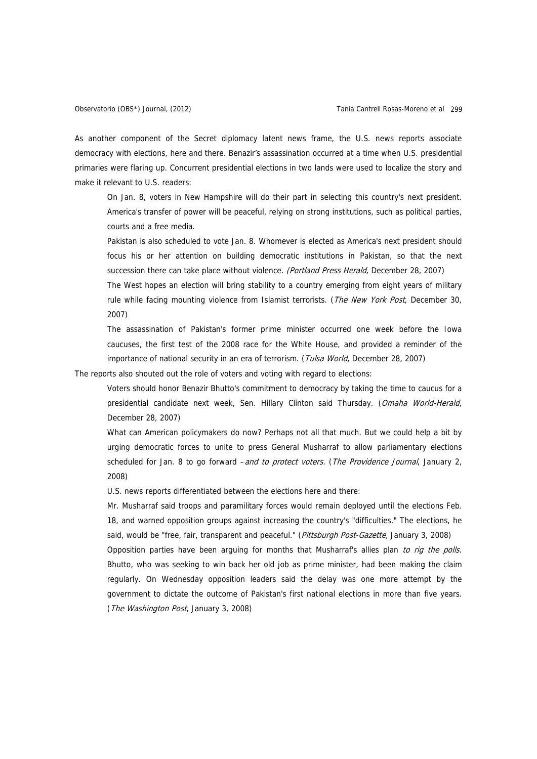As another component of the Secret diplomacy latent news frame, the U.S. news reports associate democracy with elections, here and there. Benazir's assassination occurred at a time when U.S. presidential primaries were flaring up. Concurrent presidential elections in two lands were used to localize the story and make it relevant to U.S. readers:

On Jan. 8, voters in New Hampshire will do their part in selecting this country's next president. America's transfer of power will be peaceful, relying on strong institutions, such as political parties, courts and a free media.

Pakistan is also scheduled to vote Jan. 8. Whomever is elected as America's next president should focus his or her attention on building democratic institutions in Pakistan, so that the next succession there can take place without violence. (Portland Press Herald, December 28, 2007)

The West hopes an election will bring stability to a country emerging from eight years of military rule while facing mounting violence from Islamist terrorists. (The New York Post, December 30, 2007)

The assassination of Pakistan's former prime minister occurred one week before the Iowa caucuses, the first test of the 2008 race for the White House, and provided a reminder of the importance of national security in an era of terrorism. (Tulsa World, December 28, 2007)

The reports also shouted out the role of voters and voting with regard to elections:

Voters should honor Benazir Bhutto's commitment to democracy by taking the time to caucus for a presidential candidate next week, Sen. Hillary Clinton said Thursday. (Omaha World-Herald, December 28, 2007)

What can American policymakers do now? Perhaps not all that much. But we could help a bit by urging democratic forces to unite to press General Musharraf to allow parliamentary elections scheduled for Jan. 8 to go forward *-and to protect voters. (The Providence Journal*, January 2, 2008)

U.S. news reports differentiated between the elections here and there:

Mr. Musharraf said troops and paramilitary forces would remain deployed until the elections Feb. 18, and warned opposition groups against increasing the country's "difficulties." The elections, he said, would be "free, fair, transparent and peaceful." (Pittsburgh Post-Gazette, January 3, 2008)

Opposition parties have been arguing for months that Musharraf's allies plan to rig the polls. Bhutto, who was seeking to win back her old job as prime minister, had been making the claim regularly. On Wednesday opposition leaders said the delay was one more attempt by the government to dictate the outcome of Pakistan's first national elections in more than five years. (The Washington Post, January 3, 2008)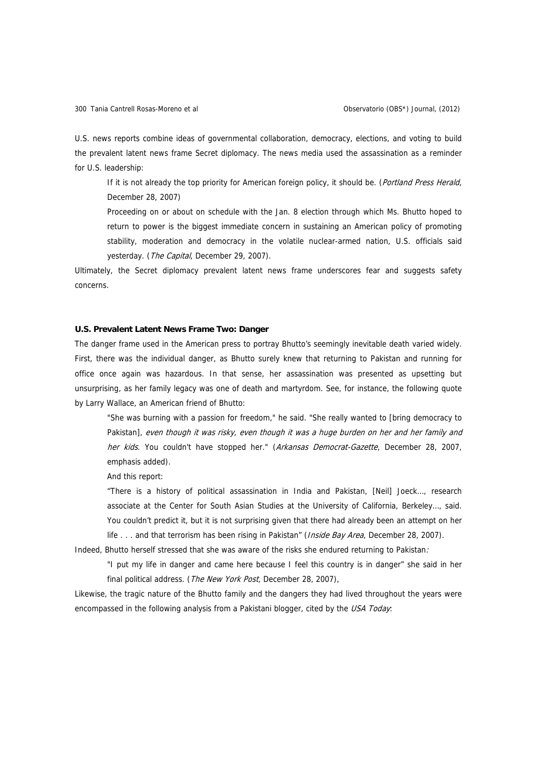U.S. news reports combine ideas of governmental collaboration, democracy, elections, and voting to build the prevalent latent news frame Secret diplomacy. The news media used the assassination as a reminder for U.S. leadership:

If it is not already the top priority for American foreign policy, it should be. (Portland Press Herald, December 28, 2007)

Proceeding on or about on schedule with the Jan. 8 election through which Ms. Bhutto hoped to return to power is the biggest immediate concern in sustaining an American policy of promoting stability, moderation and democracy in the volatile nuclear-armed nation, U.S. officials said yesterday. (The Capital, December 29, 2007).

Ultimately, the Secret diplomacy prevalent latent news frame underscores fear and suggests safety concerns.

### **U.S. Prevalent Latent News Frame Two: Danger**

The danger frame used in the American press to portray Bhutto's seemingly inevitable death varied widely. First, there was the individual danger, as Bhutto surely knew that returning to Pakistan and running for office once again was hazardous. In that sense, her assassination was presented as upsetting but unsurprising, as her family legacy was one of death and martyrdom. See, for instance, the following quote by Larry Wallace, an American friend of Bhutto:

"She was burning with a passion for freedom," he said. "She really wanted to [bring democracy to Pakistan], even though it was risky, even though it was a huge burden on her and her family and her kids. You couldn't have stopped her." (Arkansas Democrat-Gazette, December 28, 2007, emphasis added).

And this report:

"There is a history of political assassination in India and Pakistan, [Neil] Joeck…, research associate at the Center for South Asian Studies at the University of California, Berkeley…, said. You couldn't predict it, but it is not surprising given that there had already been an attempt on her life . . . and that terrorism has been rising in Pakistan" (*Inside Bay Area*, December 28, 2007).

Indeed, Bhutto herself stressed that she was aware of the risks she endured returning to Pakistan:

"I put my life in danger and came here because I feel this country is in danger" she said in her final political address. (*The New York Post*, December 28, 2007),

Likewise, the tragic nature of the Bhutto family and the dangers they had lived throughout the years were encompassed in the following analysis from a Pakistani blogger, cited by the USA Today: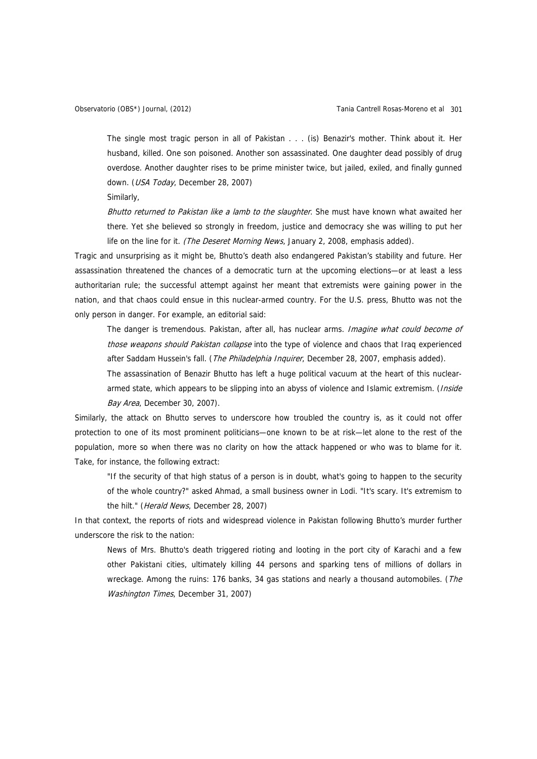The single most tragic person in all of Pakistan . . . (is) Benazir's mother. Think about it. Her husband, killed. One son poisoned. Another son assassinated. One daughter dead possibly of drug overdose. Another daughter rises to be prime minister twice, but jailed, exiled, and finally gunned down. (USA Today, December 28, 2007)

Similarly,

Bhutto returned to Pakistan like a lamb to the slaughter. She must have known what awaited her there. Yet she believed so strongly in freedom, justice and democracy she was willing to put her life on the line for it. (The Deseret Morning News, January 2, 2008, emphasis added).

Tragic and unsurprising as it might be, Bhutto's death also endangered Pakistan's stability and future. Her assassination threatened the chances of a democratic turn at the upcoming elections—or at least a less authoritarian rule; the successful attempt against her meant that extremists were gaining power in the nation, and that chaos could ensue in this nuclear-armed country. For the U.S. press, Bhutto was not the only person in danger. For example, an editorial said:

The danger is tremendous. Pakistan, after all, has nuclear arms. Imagine what could become of those weapons should Pakistan collapse into the type of violence and chaos that Iraq experienced after Saddam Hussein's fall. (The Philadelphia Inquirer, December 28, 2007, emphasis added).

The assassination of Benazir Bhutto has left a huge political vacuum at the heart of this nucleararmed state, which appears to be slipping into an abyss of violence and Islamic extremism. (Inside Bay Area, December 30, 2007).

Similarly, the attack on Bhutto serves to underscore how troubled the country is, as it could not offer protection to one of its most prominent politicians—one known to be at risk—let alone to the rest of the population, more so when there was no clarity on how the attack happened or who was to blame for it. Take, for instance, the following extract:

"If the security of that high status of a person is in doubt, what's going to happen to the security of the whole country?" asked Ahmad, a small business owner in Lodi. "It's scary. It's extremism to the hilt." (*Herald News*, December 28, 2007)

In that context, the reports of riots and widespread violence in Pakistan following Bhutto's murder further underscore the risk to the nation:

News of Mrs. Bhutto's death triggered rioting and looting in the port city of Karachi and a few other Pakistani cities, ultimately killing 44 persons and sparking tens of millions of dollars in wreckage. Among the ruins: 176 banks, 34 gas stations and nearly a thousand automobiles. (The Washington Times, December 31, 2007)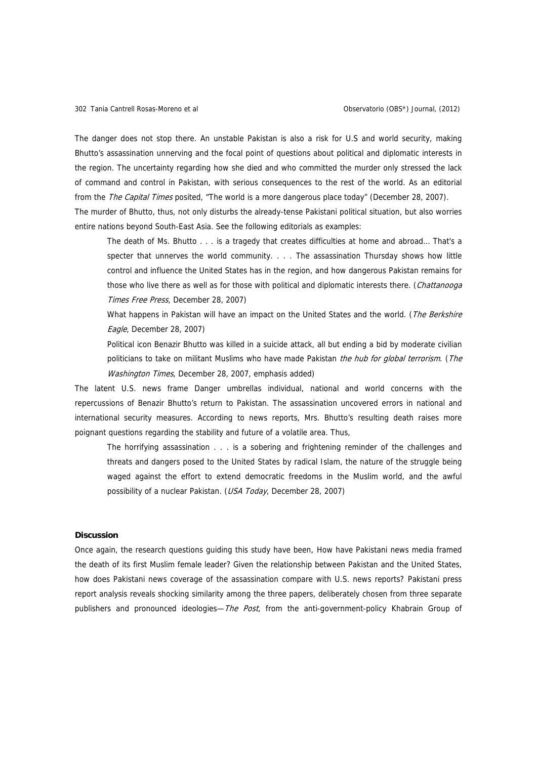The danger does not stop there. An unstable Pakistan is also a risk for U.S and world security, making Bhutto's assassination unnerving and the focal point of questions about political and diplomatic interests in the region. The uncertainty regarding how she died and who committed the murder only stressed the lack of command and control in Pakistan, with serious consequences to the rest of the world. As an editorial from the *The Capital Times* posited, "The world is a more dangerous place today" (December 28, 2007). The murder of Bhutto, thus, not only disturbs the already-tense Pakistani political situation, but also worries

entire nations beyond South-East Asia. See the following editorials as examples:

The death of Ms. Bhutto . . . is a tragedy that creates difficulties at home and abroad… That's a specter that unnerves the world community. . . . The assassination Thursday shows how little control and influence the United States has in the region, and how dangerous Pakistan remains for those who live there as well as for those with political and diplomatic interests there. (Chattanooga Times Free Press, December 28, 2007)

What happens in Pakistan will have an impact on the United States and the world. (The Berkshire Eagle, December 28, 2007)

Political icon Benazir Bhutto was killed in a suicide attack, all but ending a bid by moderate civilian politicians to take on militant Muslims who have made Pakistan the hub for global terrorism. (The Washington Times, December 28, 2007, emphasis added)

The latent U.S. news frame Danger umbrellas individual, national and world concerns with the repercussions of Benazir Bhutto's return to Pakistan. The assassination uncovered errors in national and international security measures. According to news reports, Mrs. Bhutto's resulting death raises more poignant questions regarding the stability and future of a volatile area. Thus,

The horrifying assassination . . . is a sobering and frightening reminder of the challenges and threats and dangers posed to the United States by radical Islam, the nature of the struggle being waged against the effort to extend democratic freedoms in the Muslim world, and the awful possibility of a nuclear Pakistan. (USA Today, December 28, 2007)

#### **Discussion**

Once again, the research questions guiding this study have been, How have Pakistani news media framed the death of its first Muslim female leader? Given the relationship between Pakistan and the United States, how does Pakistani news coverage of the assassination compare with U.S. news reports? Pakistani press report analysis reveals shocking similarity among the three papers, deliberately chosen from three separate publishers and pronounced ideologies—The Post, from the anti-government-policy Khabrain Group of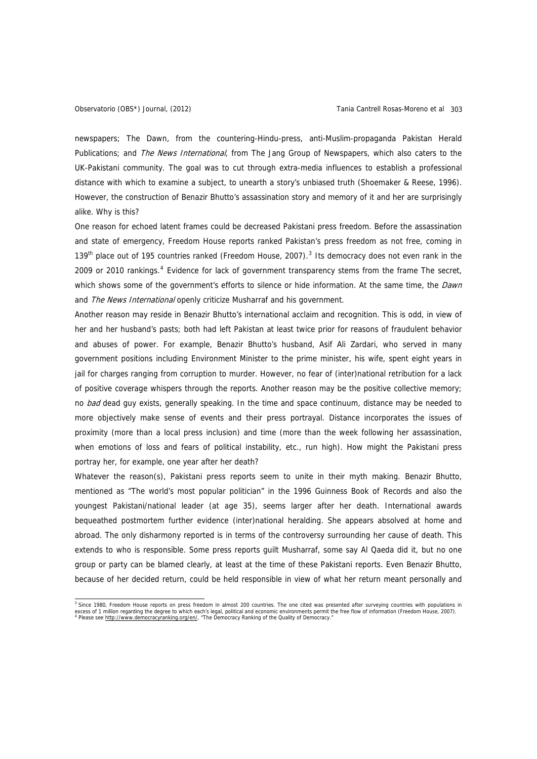newspapers; The Dawn, from the countering-Hindu-press, anti-Muslim-propaganda Pakistan Herald Publications; and The News International, from The Jang Group of Newspapers, which also caters to the UK-Pakistani community. The goal was to cut through extra-media influences to establish a professional distance with which to examine a subject, to unearth a story's unbiased truth (Shoemaker & Reese, 1996). However, the construction of Benazir Bhutto's assassination story and memory of it and her are surprisingly alike. Why is this?

One reason for echoed latent frames could be decreased Pakistani press freedom. Before the assassination and state of emergency, Freedom House reports ranked Pakistan's press freedom as not free, coming in 1[3](#page-22-0)9<sup>th</sup> place out of 195 countries ranked (Freedom House, 2007).<sup>3</sup> Its democracy does not even rank in the 2009 or 2010 rankings.<sup>[4](#page-22-1)</sup> Evidence for lack of government transparency stems from the frame The secret, which shows some of the government's efforts to silence or hide information. At the same time, the Dawn and The News International openly criticize Musharraf and his government.

Another reason may reside in Benazir Bhutto's international acclaim and recognition. This is odd, in view of her and her husband's pasts; both had left Pakistan at least twice prior for reasons of fraudulent behavior and abuses of power. For example, Benazir Bhutto's husband, Asif Ali Zardari, who served in many government positions including Environment Minister to the prime minister, his wife, spent eight years in jail for charges ranging from corruption to murder. However, no fear of (inter)national retribution for a lack of positive coverage whispers through the reports. Another reason may be the positive collective memory; no bad dead guy exists, generally speaking. In the time and space continuum, distance may be needed to more objectively make sense of events and their press portrayal. Distance incorporates the issues of proximity (more than a local press inclusion) and time (more than the week following her assassination, when emotions of loss and fears of political instability, etc., run high). How might the Pakistani press portray her, for example, one year after her death?

Whatever the reason(s), Pakistani press reports seem to unite in their myth making. Benazir Bhutto, mentioned as "The world's most popular politician" in the 1996 Guinness Book of Records and also the youngest Pakistani/national leader (at age 35), seems larger after her death. International awards bequeathed postmortem further evidence (inter)national heralding. She appears absolved at home and abroad. The only disharmony reported is in terms of the controversy surrounding her cause of death. This extends to who is responsible. Some press reports guilt Musharraf, some say Al Qaeda did it, but no one group or party can be blamed clearly, at least at the time of these Pakistani reports. Even Benazir Bhutto, because of her decided return, could be held responsible in view of what her return meant personally and

<span id="page-22-1"></span><span id="page-22-0"></span><sup>&</sup>lt;sup>3</sup> Since 1980, Freedom House reports on press freedom in almost 200 countries. The one cited was presented after surveying countries with populations in excess of 1 million regarding the degree to which each's legal, political and economic environments permit the free flow of information (Freedom House, 2007).<br><sup>4</sup> Please see <u><http://www.democracyranking.org/en/></u>, "The Demo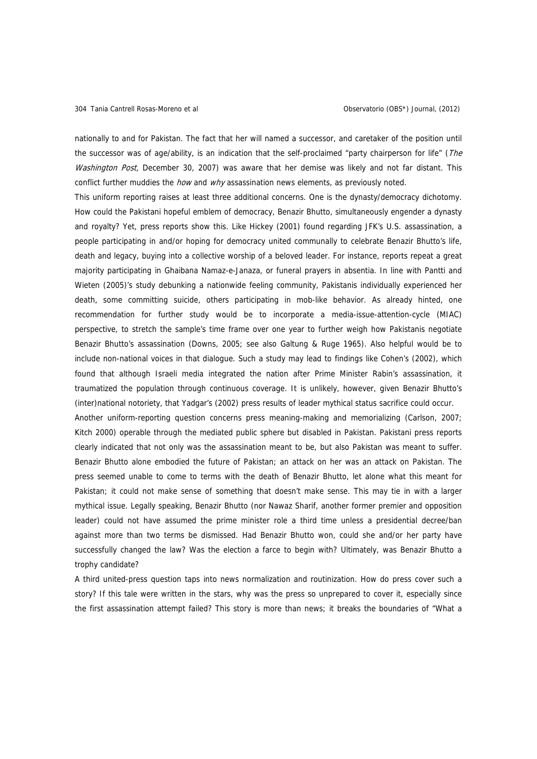nationally to and for Pakistan. The fact that her will named a successor, and caretaker of the position until the successor was of age/ability, is an indication that the self-proclaimed "party chairperson for life" (The Washington Post, December 30, 2007) was aware that her demise was likely and not far distant. This conflict further muddies the *how* and  $w/hy$  assassination news elements, as previously noted.

This uniform reporting raises at least three additional concerns. One is the dynasty/democracy dichotomy. How could the Pakistani hopeful emblem of democracy, Benazir Bhutto, simultaneously engender a dynasty and royalty? Yet, press reports show this. Like Hickey (2001) found regarding JFK's U.S. assassination, a people participating in and/or hoping for democracy united communally to celebrate Benazir Bhutto's life, death and legacy, buying into a collective worship of a beloved leader. For instance, reports repeat a great majority participating in Ghaibana Namaz-e-Janaza, or funeral prayers in absentia. In line with Pantti and Wieten (2005)'s study debunking a nationwide feeling community, Pakistanis individually experienced her death, some committing suicide, others participating in mob-like behavior. As already hinted, one recommendation for further study would be to incorporate a media-issue-attention-cycle (MIAC) perspective, to stretch the sample's time frame over one year to further weigh how Pakistanis negotiate Benazir Bhutto's assassination (Downs, 2005; see also Galtung & Ruge 1965). Also helpful would be to include non-national voices in that dialogue. Such a study may lead to findings like Cohen's (2002), which found that although Israeli media integrated the nation after Prime Minister Rabin's assassination, it traumatized the population through continuous coverage. It is unlikely, however, given Benazir Bhutto's (inter)national notoriety, that Yadgar's (2002) press results of leader mythical status sacrifice could occur.

Another uniform-reporting question concerns press meaning-making and memorializing (Carlson, 2007; Kitch 2000) operable through the mediated public sphere but disabled in Pakistan. Pakistani press reports clearly indicated that not only was the assassination meant to be, but also Pakistan was meant to suffer. Benazir Bhutto alone embodied the future of Pakistan; an attack on her was an attack on Pakistan. The press seemed unable to come to terms with the death of Benazir Bhutto, let alone what this meant for Pakistan; it could not make sense of something that doesn't make sense. This may tie in with a larger mythical issue. Legally speaking, Benazir Bhutto (nor Nawaz Sharif, another former premier and opposition leader) could not have assumed the prime minister role a third time unless a presidential decree/ban against more than two terms be dismissed. Had Benazir Bhutto won, could she and/or her party have successfully changed the law? Was the election a farce to begin with? Ultimately, was Benazir Bhutto a trophy candidate?

A third united-press question taps into news normalization and routinization. How do press cover such a story? If this tale were written in the stars, why was the press so unprepared to cover it, especially since the first assassination attempt failed? This story is more than news; it breaks the boundaries of "What a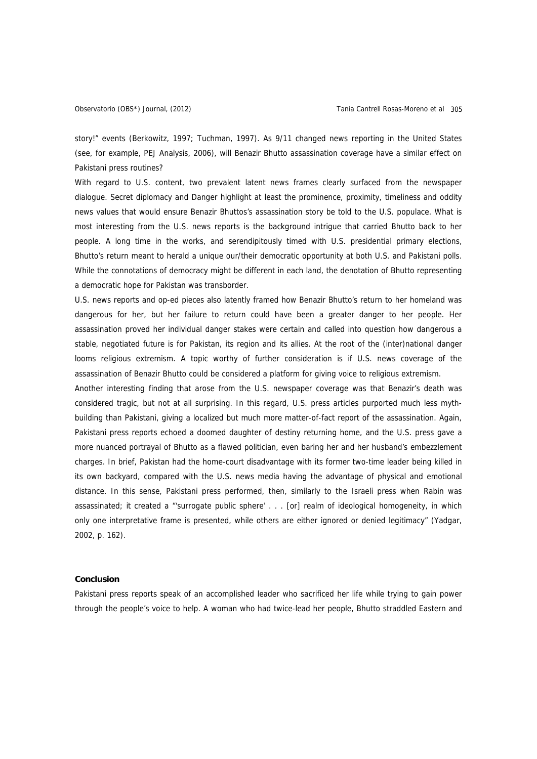story!" events (Berkowitz, 1997; Tuchman, 1997). As 9/11 changed news reporting in the United States (see, for example, PEJ Analysis, 2006), will Benazir Bhutto assassination coverage have a similar effect on Pakistani press routines?

With regard to U.S. content, two prevalent latent news frames clearly surfaced from the newspaper dialogue. Secret diplomacy and Danger highlight at least the prominence, proximity, timeliness and oddity news values that would ensure Benazir Bhuttos's assassination story be told to the U.S. populace. What is most interesting from the U.S. news reports is the background intrigue that carried Bhutto back to her people. A long time in the works, and serendipitously timed with U.S. presidential primary elections, Bhutto's return meant to herald a unique our/their democratic opportunity at both U.S. and Pakistani polls. While the connotations of democracy might be different in each land, the denotation of Bhutto representing a democratic hope for Pakistan was transborder.

U.S. news reports and op-ed pieces also latently framed how Benazir Bhutto's return to her homeland was dangerous for her, but her failure to return could have been a greater danger to her people. Her assassination proved her individual danger stakes were certain and called into question how dangerous a stable, negotiated future is for Pakistan, its region and its allies. At the root of the (inter)national danger looms religious extremism. A topic worthy of further consideration is if U.S. news coverage of the assassination of Benazir Bhutto could be considered a platform for giving voice to religious extremism.

Another interesting finding that arose from the U.S. newspaper coverage was that Benazir's death was considered tragic, but not at all surprising. In this regard, U.S. press articles purported much less mythbuilding than Pakistani, giving a localized but much more matter-of-fact report of the assassination. Again, Pakistani press reports echoed a doomed daughter of destiny returning home, and the U.S. press gave a more nuanced portrayal of Bhutto as a flawed politician, even baring her and her husband's embezzlement charges. In brief, Pakistan had the home-court disadvantage with its former two-time leader being killed in its own backyard, compared with the U.S. news media having the advantage of physical and emotional distance. In this sense, Pakistani press performed, then, similarly to the Israeli press when Rabin was assassinated; it created a "'surrogate public sphere' . . . [or] realm of ideological homogeneity, in which only one interpretative frame is presented, while others are either ignored or denied legitimacy" (Yadgar, 2002, p. 162).

#### **Conclusion**

Pakistani press reports speak of an accomplished leader who sacrificed her life while trying to gain power through the people's voice to help. A woman who had twice-lead her people, Bhutto straddled Eastern and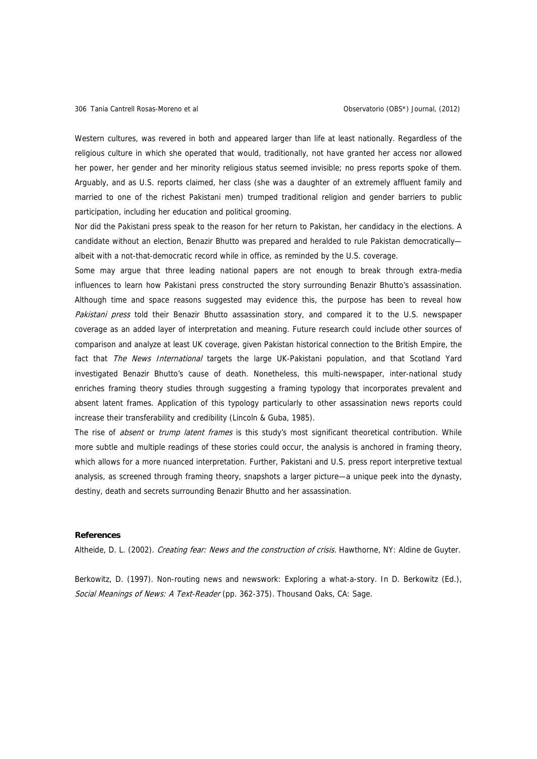Western cultures, was revered in both and appeared larger than life at least nationally. Regardless of the religious culture in which she operated that would, traditionally, not have granted her access nor allowed her power, her gender and her minority religious status seemed invisible; no press reports spoke of them. Arguably, and as U.S. reports claimed, her class (she was a daughter of an extremely affluent family and married to one of the richest Pakistani men) trumped traditional religion and gender barriers to public participation, including her education and political grooming.

Nor did the Pakistani press speak to the reason for her return to Pakistan, her candidacy in the elections. A candidate without an election, Benazir Bhutto was prepared and heralded to rule Pakistan democratically albeit with a not-that-democratic record while in office, as reminded by the U.S. coverage.

Some may argue that three leading national papers are not enough to break through extra-media influences to learn how Pakistani press constructed the story surrounding Benazir Bhutto's assassination. Although time and space reasons suggested may evidence this, the purpose has been to reveal how Pakistani press told their Benazir Bhutto assassination story, and compared it to the U.S. newspaper coverage as an added layer of interpretation and meaning. Future research could include other sources of comparison and analyze at least UK coverage, given Pakistan historical connection to the British Empire, the fact that The News International targets the large UK-Pakistani population, and that Scotland Yard investigated Benazir Bhutto's cause of death. Nonetheless, this multi-newspaper, inter-national study enriches framing theory studies through suggesting a framing typology that incorporates prevalent and absent latent frames. Application of this typology particularly to other assassination news reports could increase their transferability and credibility (Lincoln & Guba, 1985).

The rise of *absent* or *trump latent frames* is this study's most significant theoretical contribution. While more subtle and multiple readings of these stories could occur, the analysis is anchored in framing theory, which allows for a more nuanced interpretation. Further, Pakistani and U.S. press report interpretive textual analysis, as screened through framing theory, snapshots a larger picture—a unique peek into the dynasty, destiny, death and secrets surrounding Benazir Bhutto and her assassination.

### **References**

Altheide, D. L. (2002). Creating fear: News and the construction of crisis. Hawthorne, NY: Aldine de Guyter.

Berkowitz, D. (1997). Non-routing news and newswork: Exploring a what-a-story. In D. Berkowitz (Ed.), Social Meanings of News: A Text-Reader (pp. 362-375). Thousand Oaks, CA: Sage.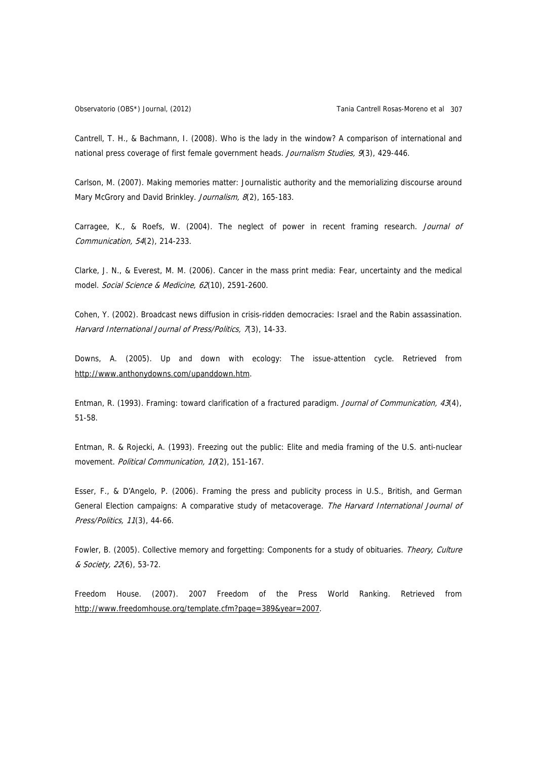Cantrell, T. H., & Bachmann, I. (2008). Who is the lady in the window? A comparison of international and national press coverage of first female government heads. Journalism Studies, 9(3), 429-446.

Carlson, M. (2007). Making memories matter: Journalistic authority and the memorializing discourse around Mary McGrory and David Brinkley. Journalism, 8(2), 165-183.

Carragee, K., & Roefs, W. (2004). The neglect of power in recent framing research. Journal of Communication, 54(2), 214-233.

Clarke, J. N., & Everest, M. M. (2006). Cancer in the mass print media: Fear, uncertainty and the medical model. Social Science & Medicine, 62(10), 2591-2600.

Cohen, Y. (2002). Broadcast news diffusion in crisis-ridden democracies: Israel and the Rabin assassination. Harvard International Journal of Press/Politics, 7(3), 14-33.

Downs, A. (2005). Up and down with ecology: The issue-attention cycle. Retrieved from [http://www.anthonydowns.com/upanddown.htm.](http://www.anthonydowns.com/upanddown.htm)

Entman, R. (1993). Framing: toward clarification of a fractured paradigm. Journal of Communication, 43(4), 51-58.

Entman, R. & Rojecki, A. (1993). Freezing out the public: Elite and media framing of the U.S. anti-nuclear movement. Political Communication, 10(2), 151-167.

Esser, F., & D'Angelo, P. (2006). Framing the press and publicity process in U.S., British, and German General Election campaigns: A comparative study of metacoverage. The Harvard International Journal of Press/Politics, 11(3), 44-66.

Fowler, B. (2005). Collective memory and forgetting: Components for a study of obituaries. Theory, Culture & Society, 22(6), 53-72.

Freedom House. (2007). 2007 Freedom of the Press World Ranking. Retrieved from <http://www.freedomhouse.org/template.cfm?page=389&year=2007>.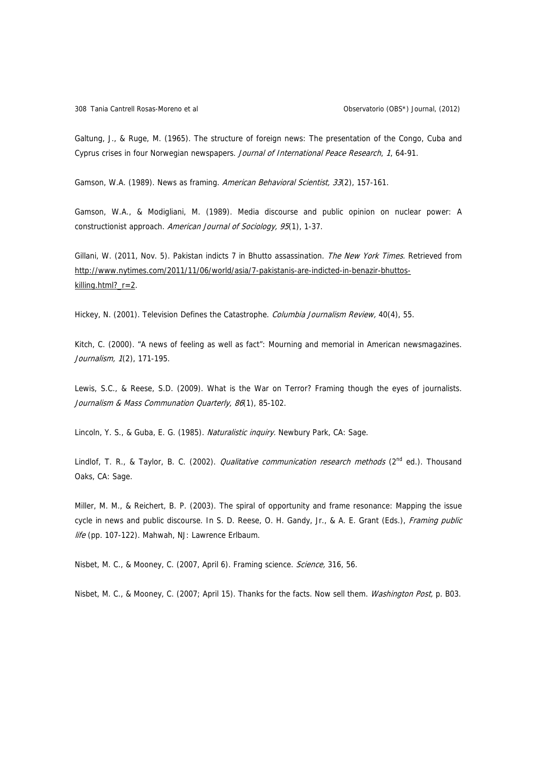Galtung, J., & Ruge, M. (1965). The structure of foreign news: The presentation of the Congo, Cuba and Cyprus crises in four Norwegian newspapers. Journal of International Peace Research, 1, 64-91.

Gamson, W.A. (1989). News as framing. American Behavioral Scientist, 33(2), 157-161.

Gamson, W.A., & Modigliani, M. (1989). Media discourse and public opinion on nuclear power: A constructionist approach. American Journal of Sociology, 95(1), 1-37.

Gillani, W. (2011, Nov. 5). Pakistan indicts 7 in Bhutto assassination. The New York Times. Retrieved from [http://www.nytimes.com/2011/11/06/world/asia/7-pakistanis-are-indicted-in-benazir-bhuttos](http://www.nytimes.com/2011/11/06/world/asia/7-pakistanis-are-indicted-in-benazir-bhuttos-killing.html?_r=2)[killing.html?\\_r=2.](http://www.nytimes.com/2011/11/06/world/asia/7-pakistanis-are-indicted-in-benazir-bhuttos-killing.html?_r=2)

Hickey, N. (2001). Television Defines the Catastrophe. Columbia Journalism Review, 40(4), 55.

Kitch, C. (2000). "A news of feeling as well as fact": Mourning and memorial in American newsmagazines. Journalism, 1(2), 171-195.

Lewis, S.C., & Reese, S.D. (2009). What is the War on Terror? Framing though the eyes of journalists. Journalism & Mass Communation Quarterly, 86(1), 85-102.

Lincoln, Y. S., & Guba, E. G. (1985). Naturalistic inquiry. Newbury Park, CA: Sage.

Lindlof, T. R., & Taylor, B. C. (2002). *Qualitative communication research methods* (2<sup>nd</sup> ed.). Thousand Oaks, CA: Sage.

Miller, M. M., & Reichert, B. P. (2003). The spiral of opportunity and frame resonance: Mapping the issue cycle in news and public discourse. In S. D. Reese, O. H. Gandy, Jr., & A. E. Grant (Eds.), Framing public life (pp. 107-122). Mahwah, NJ: Lawrence Erlbaum.

Nisbet, M. C., & Mooney, C. (2007, April 6). Framing science. Science, 316, 56.

Nisbet, M. C., & Mooney, C. (2007; April 15). Thanks for the facts. Now sell them. Washington Post, p. B03.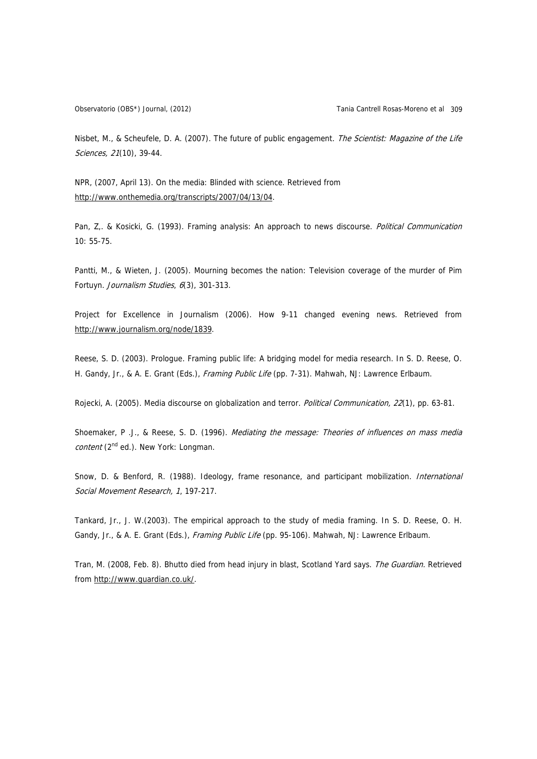Nisbet, M., & Scheufele, D. A. (2007). The future of public engagement. The Scientist: Magazine of the Life Sciences, 21(10), 39-44.

NPR, (2007, April 13). On the media: Blinded with science. Retrieved from <http://www.onthemedia.org/transcripts/2007/04/13/04>.

Pan, Z.. & Kosicki, G. (1993). Framing analysis: An approach to news discourse. Political Communication 10: 55-75.

Pantti, M., & Wieten, J. (2005). Mourning becomes the nation: Television coverage of the murder of Pim Fortuyn. Journalism Studies, 6(3), 301-313.

Project for Excellence in Journalism (2006). How 9-11 changed evening news. Retrieved from [http://www.journalism.org/node/1839.](http://www.journalism.org/node/1839)

Reese, S. D. (2003). Prologue. Framing public life: A bridging model for media research. In S. D. Reese, O. H. Gandy, Jr., & A. E. Grant (Eds.), Framing Public Life (pp. 7-31). Mahwah, NJ: Lawrence Erlbaum.

Rojecki, A. (2005). Media discourse on globalization and terror. *Political Communication, 22*(1), pp. 63-81.

Shoemaker, P .J., & Reese, S. D. (1996). Mediating the message: Theories of influences on mass media content (2<sup>nd</sup> ed.). New York: Longman.

Snow, D. & Benford, R. (1988). Ideology, frame resonance, and participant mobilization. International Social Movement Research, <sup>1</sup>, 197-217.

Tankard, Jr., J. W.(2003). The empirical approach to the study of media framing. In S. D. Reese, O. H. Gandy, Jr., & A. E. Grant (Eds.), Framing Public Life (pp. 95-106). Mahwah, NJ: Lawrence Erlbaum.

Tran, M. (2008, Feb. 8). Bhutto died from head injury in blast, Scotland Yard says. The Guardian. Retrieved from<http://www.guardian.co.uk/>.